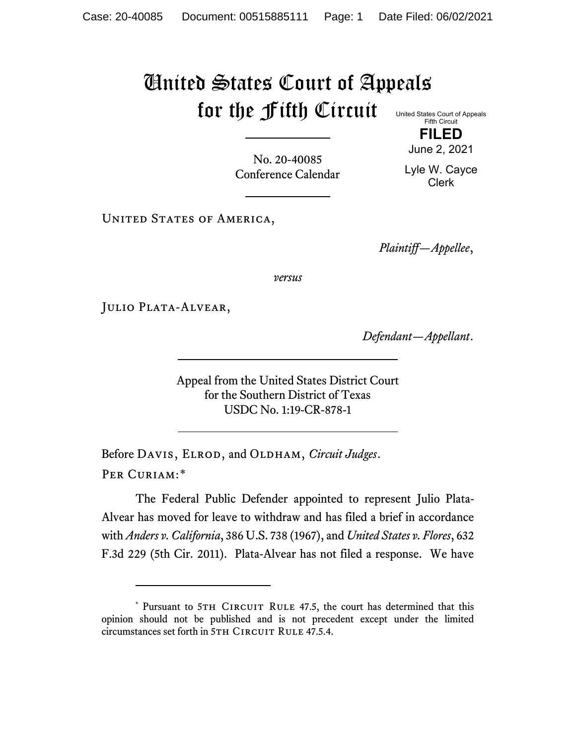## United States Court of Appeals for the Fifth Circuit United States Court of Appeals

Fifth Circuit **FILED** June 2, 2021

No. 20-40085 Conference Calendar

Lyle W. Cayce Clerk

UNITED STATES OF AMERICA,

*Plaintiff—Appellee*,

*versus*

Julio Plata-Alvear,

*Defendant—Appellant*.

Appeal from the United States District Court for the Southern District of Texas USDC No. 1:19-CR-878-1

Before DAVIS, ELROD, and OLDHAM, *Circuit Judges*. Per Curiam:[\\*](#page-0-0)

The Federal Public Defender appointed to represent Julio Plata-Alvear has moved for leave to withdraw and has filed a brief in accordance with *Anders v. California*, 386 U.S. 738 (1967), and *United States v. Flores*, 632 F.3d 229 (5th Cir. 2011). Plata-Alvear has not filed a response. We have

<span id="page-0-0"></span><sup>\*</sup> Pursuant to 5TH CIRCUIT RULE 47.5, the court has determined that this opinion should not be published and is not precedent except under the limited circumstances set forth in 5TH CIRCUIT RULE 47.5.4.